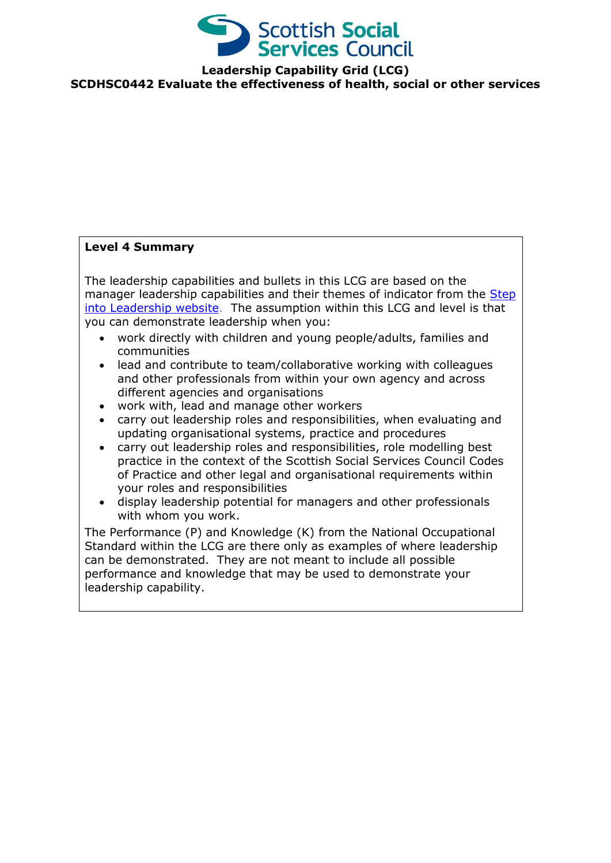

**Leadership Capability Grid (LCG) SCDHSC0442 Evaluate the effectiveness of health, social or other services**

## **Level 4 Summary**

The leadership capabilities and bullets in this LCG are based on the manager leadership capabilities and their themes of indicator from the Step [into Leadership website.](http://www.stepintoleadership.info/index.html) The assumption within this LCG and level is that you can demonstrate leadership when you:

- work directly with children and young people/adults, families and communities
- lead and contribute to team/collaborative working with colleagues and other professionals from within your own agency and across different agencies and organisations
- work with, lead and manage other workers
- carry out leadership roles and responsibilities, when evaluating and updating organisational systems, practice and procedures
- carry out leadership roles and responsibilities, role modelling best practice in the context of the Scottish Social Services Council Codes of Practice and other legal and organisational requirements within your roles and responsibilities
- display leadership potential for managers and other professionals with whom you work.

The Performance (P) and Knowledge (K) from the National Occupational Standard within the LCG are there only as examples of where leadership can be demonstrated. They are not meant to include all possible performance and knowledge that may be used to demonstrate your leadership capability.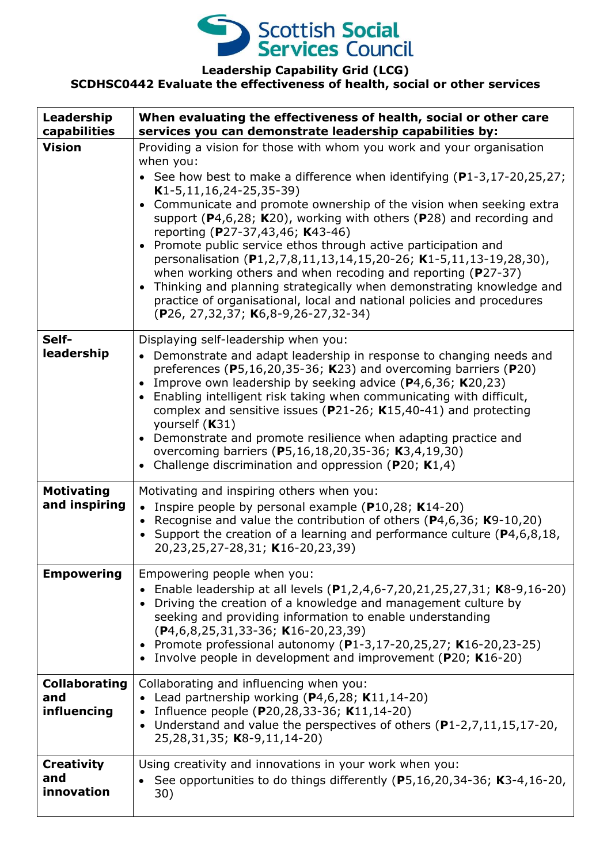

## **Leadership Capability Grid (LCG)**

## **SCDHSC0442 Evaluate the effectiveness of health, social or other services**

| Leadership<br>capabilities                 | When evaluating the effectiveness of health, social or other care<br>services you can demonstrate leadership capabilities by:                                                                                                                                                                                                                                                                                                                                                                                                                                                                                                                                                                                                                                                                               |
|--------------------------------------------|-------------------------------------------------------------------------------------------------------------------------------------------------------------------------------------------------------------------------------------------------------------------------------------------------------------------------------------------------------------------------------------------------------------------------------------------------------------------------------------------------------------------------------------------------------------------------------------------------------------------------------------------------------------------------------------------------------------------------------------------------------------------------------------------------------------|
| <b>Vision</b>                              | Providing a vision for those with whom you work and your organisation<br>when you:<br>• See how best to make a difference when identifying $(P1-3, 17-20, 25, 27)$ ;<br>$K1-5, 11, 16, 24-25, 35-39)$<br>• Communicate and promote ownership of the vision when seeking extra<br>support ( $P4,6,28$ ; K20), working with others ( $P28$ ) and recording and<br>reporting (P27-37,43,46; K43-46)<br>• Promote public service ethos through active participation and<br>personalisation (P1,2,7,8,11,13,14,15,20-26; K1-5,11,13-19,28,30),<br>when working others and when recoding and reporting (P27-37)<br>• Thinking and planning strategically when demonstrating knowledge and<br>practice of organisational, local and national policies and procedures<br>$(P26, 27, 32, 37; K6, 8-9, 26-27, 32-34)$ |
| Self-<br>leadership                        | Displaying self-leadership when you:<br>• Demonstrate and adapt leadership in response to changing needs and<br>preferences ( $P5,16,20,35-36$ ; K23) and overcoming barriers ( $P20$ )<br>Improve own leadership by seeking advice $(P4,6,36; K20,23)$<br>Enabling intelligent risk taking when communicating with difficult,<br>complex and sensitive issues ( $P$ 21-26; K15,40-41) and protecting<br>yourself $(K31)$<br>• Demonstrate and promote resilience when adapting practice and<br>overcoming barriers (P5,16,18,20,35-36; K3,4,19,30)<br>• Challenge discrimination and oppression (P20; $K1,4$ )                                                                                                                                                                                             |
| <b>Motivating</b><br>and inspiring         | Motivating and inspiring others when you:<br>• Inspire people by personal example ( $P10,28$ ; K14-20)<br>• Recognise and value the contribution of others ( $P$ 4,6,36; K9-10,20)<br>• Support the creation of a learning and performance culture ( $P4, 6, 8, 18$ ,<br>20,23,25,27-28,31; K16-20,23,39)                                                                                                                                                                                                                                                                                                                                                                                                                                                                                                   |
| <b>Empowering</b>                          | Empowering people when you:<br>• Enable leadership at all levels $(P1, 2, 4, 6-7, 20, 21, 25, 27, 31; K8-9, 16-20)$<br>Driving the creation of a knowledge and management culture by<br>seeking and providing information to enable understanding<br>$(P4, 6, 8, 25, 31, 33 - 36; K16 - 20, 23, 39)$<br>• Promote professional autonomy (P1-3,17-20,25,27; K16-20,23-25)<br>• Involve people in development and improvement (P20; K16-20)                                                                                                                                                                                                                                                                                                                                                                   |
| <b>Collaborating</b><br>and<br>influencing | Collaborating and influencing when you:<br>• Lead partnership working ( $P4,6,28$ ; K11,14-20)<br>Influence people (P20,28,33-36; K11,14-20)<br>$\bullet$<br>• Understand and value the perspectives of others (P1-2,7,11,15,17-20,<br>25,28,31,35; K8-9,11,14-20)                                                                                                                                                                                                                                                                                                                                                                                                                                                                                                                                          |
| <b>Creativity</b><br>and<br>innovation     | Using creativity and innovations in your work when you:<br>See opportunities to do things differently (P5,16,20,34-36; K3-4,16-20,<br>30)                                                                                                                                                                                                                                                                                                                                                                                                                                                                                                                                                                                                                                                                   |